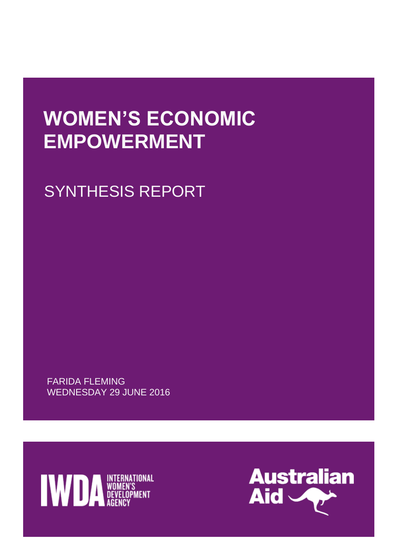# **WOMEN'S ECONOMIC EMPOWERMENT**

SYNTHESIS REPORT

FARIDA FLEMING WEDNESDAY 29 JUNE 2016



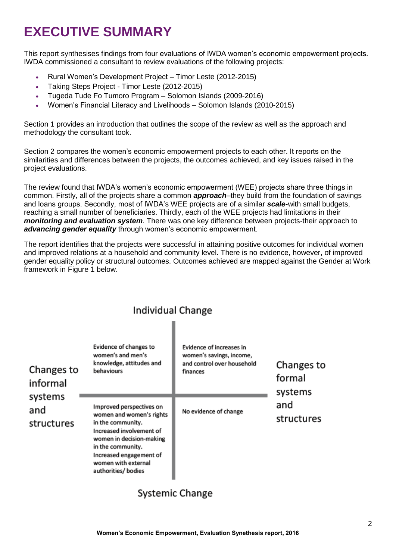# **EXECUTIVE SUMMARY**

This report synthesises findings from four evaluations of IWDA women's economic empowerment projects. IWDA commissioned a consultant to review evaluations of the following projects:

- Rural Women's Development Project Timor Leste (2012-2015)
- Taking Steps Project Timor Leste (2012-2015)
- Tugeda Tude Fo Tumoro Program Solomon Islands (2009-2016)
- Women's Financial Literacy and Livelihoods Solomon Islands (2010-2015)

Section 1 provides an introduction that outlines the scope of the review as well as the approach and methodology the consultant took.

Section 2 compares the women's economic empowerment projects to each other. It reports on the similarities and differences between the projects, the outcomes achieved, and key issues raised in the project evaluations.

The review found that IWDA's women's economic empowerment (WEE) projects share three things in common. Firstly, all of the projects share a common *approach*–they build from the foundation of savings and loans groups. Secondly, most of IWDA's WEE projects are of a similar *scale-*with small budgets, reaching a small number of beneficiaries. Thirdly, each of the WEE projects had limitations in their *monitoring and evaluation system*. There was one key difference between projects-their approach to *advancing gender equality* through women's economic empowerment.

The report identifies that the projects were successful in attaining positive outcomes for individual women and improved relations at a household and community level. There is no evidence, however, of improved gender equality policy or structural outcomes. Outcomes achieved are mapped against the Gender at Work framework in Figure 1 below.

| Changes to<br>informal<br>systems<br>and<br>structures | Evidence of changes to<br>women's and men's<br>knowledge, attitudes and<br>behaviours                                                                                                                                          | Evidence of increases in<br>women's savings, income,<br>and control over household<br>finances | Changes to<br>formal<br>systems |
|--------------------------------------------------------|--------------------------------------------------------------------------------------------------------------------------------------------------------------------------------------------------------------------------------|------------------------------------------------------------------------------------------------|---------------------------------|
|                                                        | Improved perspectives on<br>women and women's rights<br>in the community.<br>Increased involvement of<br>women in decision-making<br>in the community.<br>Increased engagement of<br>women with external<br>authorities/bodies | No evidence of change                                                                          | and<br>structures               |

# **Individual Change**

# **Systemic Change**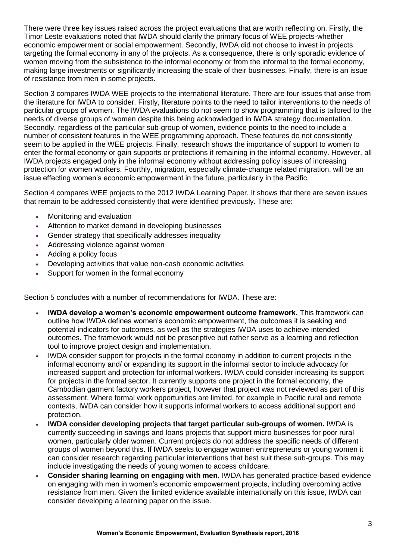There were three key issues raised across the project evaluations that are worth reflecting on. Firstly, the Timor Leste evaluations noted that IWDA should clarify the primary focus of WEE projects-whether economic empowerment or social empowerment. Secondly, IWDA did not choose to invest in projects targeting the formal economy in any of the projects. As a consequence, there is only sporadic evidence of women moving from the subsistence to the informal economy or from the informal to the formal economy, making large investments or significantly increasing the scale of their businesses. Finally, there is an issue of resistance from men in some projects.

Section 3 compares IWDA WEE projects to the international literature. There are four issues that arise from the literature for IWDA to consider. Firstly, literature points to the need to tailor interventions to the needs of particular groups of women. The IWDA evaluations do not seem to show programming that is tailored to the needs of diverse groups of women despite this being acknowledged in IWDA strategy documentation. Secondly, regardless of the particular sub-group of women, evidence points to the need to include a number of consistent features in the WEE programming approach. These features do not consistently seem to be applied in the WEE projects. Finally, research shows the importance of support to women to enter the formal economy or gain supports or protections if remaining in the informal economy. However, all IWDA projects engaged only in the informal economy without addressing policy issues of increasing protection for women workers. Fourthly, migration, especially climate-change related migration, will be an issue effecting women's economic empowerment in the future, particularly in the Pacific.

Section 4 compares WEE projects to the 2012 IWDA Learning Paper. It shows that there are seven issues that remain to be addressed consistently that were identified previously. These are:

- Monitoring and evaluation
- Attention to market demand in developing businesses
- Gender strategy that specifically addresses inequality
- Addressing violence against women
- Adding a policy focus
- Developing activities that value non-cash economic activities
- Support for women in the formal economy

Section 5 concludes with a number of recommendations for IWDA. These are:

- **IWDA develop a women's economic empowerment outcome framework.** This framework can outline how IWDA defines women's economic empowerment, the outcomes it is seeking and potential indicators for outcomes, as well as the strategies IWDA uses to achieve intended outcomes. The framework would not be prescriptive but rather serve as a learning and reflection tool to improve project design and implementation.
- IWDA consider support for projects in the formal economy in addition to current projects in the informal economy and/ or expanding its support in the informal sector to include advocacy for increased support and protection for informal workers. IWDA could consider increasing its support for projects in the formal sector. It currently supports one project in the formal economy, the Cambodian garment factory workers project, however that project was not reviewed as part of this assessment. Where formal work opportunities are limited, for example in Pacific rural and remote contexts, IWDA can consider how it supports informal workers to access additional support and protection.
- **IWDA consider developing projects that target particular sub-groups of women.** IWDA is currently succeeding in savings and loans projects that support micro businesses for poor rural women, particularly older women. Current projects do not address the specific needs of different groups of women beyond this. If IWDA seeks to engage women entrepreneurs or young women it can consider research regarding particular interventions that best suit these sub-groups. This may include investigating the needs of young women to access childcare.
- **Consider sharing learning on engaging with men.** IWDA has generated practice-based evidence on engaging with men in women's economic empowerment projects, including overcoming active resistance from men. Given the limited evidence available internationally on this issue, IWDA can consider developing a learning paper on the issue.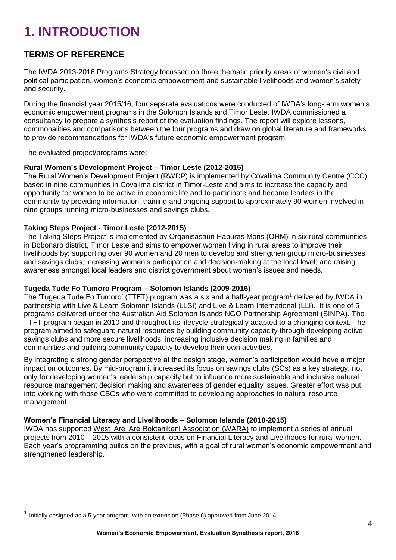# **1. INTRODUCTION**

## **TERMS OF REFERENCE**

The IWDA 2013-2016 Programs Strategy focussed on three thematic priority areas of women's civil and political participation, women's economic empowerment and sustainable livelihoods and women's safety and security.

During the financial year 2015/16, four separate evaluations were conducted of IWDA's long-term women's economic empowerment programs in the Solomon Islands and Timor Leste. IWDA commissioned a consultancy to prepare a synthesis report of the evaluation findings. The report will explore lessons, commonalities and comparisons between the four programs and draw on global literature and frameworks to provide recommendations for IWDA's future economic empowerment program.

The evaluated project/programs were:

#### **Rural Women's Development Project – Timor Leste (2012-2015)**

The Rural Women's Development Project (RWDP) is implemented by Covalima Community Centre (CCC) based in nine communities in Covalima district in Timor-Leste and aims to increase the capacity and opportunity for women to be active in economic life and to participate and become leaders in the community by providing information, training and ongoing support to approximately 90 women involved in nine groups running micro-businesses and savings clubs.

#### **Taking Steps Project - Timor Leste (2012-2015)**

The Taking Steps Project is implemented by Organisasaun Haburas Moris (OHM) in six rural communities in Bobonaro district, Timor Leste and aims to empower women living in rural areas to improve their livelihoods by: supporting over 90 women and 20 men to develop and strengthen group micro-businesses and savings clubs; increasing women's participation and decision-making at the local level; and raising awareness amongst local leaders and district government about women's issues and needs.

#### **Tugeda Tude Fo Tumoro Program – Solomon Islands (2009-2016)**

The 'Tugeda Tude Fo Tumoro' (TTFT) program was a six and a half-year program<sup>1</sup> delivered by IWDA in partnership with Live & Learn Solomon Islands (LLSI) and Live & Learn International (LLI). It is one of 5 programs delivered under the Australian Aid Solomon Islands NGO Partnership Agreement (SINPA). The TTFT program began in 2010 and throughout its lifecycle strategically adapted to a changing context. The program aimed to safeguard natural resources by building community capacity through developing active savings clubs and more secure livelihoods, increasing inclusive decision making in families and communities and building community capacity to develop their own activities.

By integrating a strong gender perspective at the design stage, women's participation would have a major impact on outcomes. By mid-program it increased its focus on savings clubs (SCs) as a key strategy, not only for developing women's leadership capacity but to influence more sustainable and inclusive natural resource management decision making and awareness of gender equality issues. Greater effort was put into working with those CBOs who were committed to developing approaches to natural resource management.

#### **Women's Financial Literacy and Livelihoods – Solomon Islands (2010-2015)**

IWDA has supported West 'Are 'Are Roktanikeni Association (WARA) to implement a series of annual projects from 2010 – 2015 with a consistent focus on Financial Literacy and Livelihoods for rural women. Each year's programming builds on the previous, with a goal of rural women's economic empowerment and strengthened leadership.

-

<sup>1</sup> Initially designed as a 5-year program, with an extension (Phase 6) approved from June 2014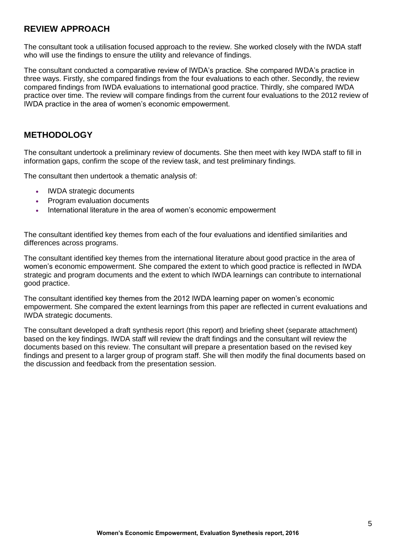### **REVIEW APPROACH**

The consultant took a utilisation focused approach to the review. She worked closely with the IWDA staff who will use the findings to ensure the utility and relevance of findings.

The consultant conducted a comparative review of IWDA's practice. She compared IWDA's practice in three ways. Firstly, she compared findings from the four evaluations to each other. Secondly, the review compared findings from IWDA evaluations to international good practice. Thirdly, she compared IWDA practice over time. The review will compare findings from the current four evaluations to the 2012 review of IWDA practice in the area of women's economic empowerment.

#### **METHODOLOGY**

The consultant undertook a preliminary review of documents. She then meet with key IWDA staff to fill in information gaps, confirm the scope of the review task, and test preliminary findings.

The consultant then undertook a thematic analysis of:

- IWDA strategic documents
- Program evaluation documents
- International literature in the area of women's economic empowerment

The consultant identified key themes from each of the four evaluations and identified similarities and differences across programs.

The consultant identified key themes from the international literature about good practice in the area of women's economic empowerment. She compared the extent to which good practice is reflected in IWDA strategic and program documents and the extent to which IWDA learnings can contribute to international good practice.

The consultant identified key themes from the 2012 IWDA learning paper on women's economic empowerment. She compared the extent learnings from this paper are reflected in current evaluations and IWDA strategic documents.

The consultant developed a draft synthesis report (this report) and briefing sheet (separate attachment) based on the key findings. IWDA staff will review the draft findings and the consultant will review the documents based on this review. The consultant will prepare a presentation based on the revised key findings and present to a larger group of program staff. She will then modify the final documents based on the discussion and feedback from the presentation session.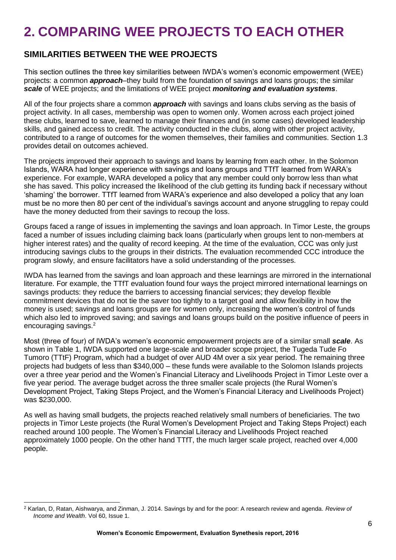# **2. COMPARING WEE PROJECTS TO EACH OTHER**

### **SIMILARITIES BETWEEN THE WEE PROJECTS**

This section outlines the three key similarities between IWDA's women's economic empowerment (WEE) projects: a common *approach*–they build from the foundation of savings and loans groups; the similar *scale* of WEE projects; and the limitations of WEE project *monitoring and evaluation systems*.

All of the four projects share a common *approach* with savings and loans clubs serving as the basis of project activity. In all cases, membership was open to women only. Women across each project joined these clubs, learned to save, learned to manage their finances and (in some cases) developed leadership skills, and gained access to credit. The activity conducted in the clubs, along with other project activity, contributed to a range of outcomes for the women themselves, their families and communities. Section 1.3 provides detail on outcomes achieved.

The projects improved their approach to savings and loans by learning from each other. In the Solomon Islands, WARA had longer experience with savings and loans groups and TTfT learned from WARA's experience. For example, WARA developed a policy that any member could only borrow less than what she has saved. This policy increased the likelihood of the club getting its funding back if necessary without 'shaming' the borrower. TTfT learned from WARA's experience and also developed a policy that any loan must be no more then 80 per cent of the individual's savings account and anyone struggling to repay could have the money deducted from their savings to recoup the loss.

Groups faced a range of issues in implementing the savings and loan approach. In Timor Leste, the groups faced a number of issues including claiming back loans (particularly when groups lent to non-members at higher interest rates) and the quality of record keeping. At the time of the evaluation, CCC was only just introducing savings clubs to the groups in their districts. The evaluation recommended CCC introduce the program slowly, and ensure facilitators have a solid understanding of the processes.

IWDA has learned from the savings and loan approach and these learnings are mirrored in the international literature. For example, the TTfT evaluation found four ways the project mirrored international learnings on savings products: they reduce the barriers to accessing financial services; they develop flexible commitment devices that do not tie the saver too tightly to a target goal and allow flexibility in how the money is used; savings and loans groups are for women only, increasing the women's control of funds which also led to improved saving; and savings and loans groups build on the positive influence of peers in encouraging savings. 2

Most (three of four) of IWDA's women's economic empowerment projects are of a similar small *scale*. As shown in Table 1, IWDA supported one large-scale and broader scope project, the Tugeda Tude Fo Tumoro (TTtF) Program, which had a budget of over AUD 4M over a six year period. The remaining three projects had budgets of less than \$340,000 – these funds were available to the Solomon Islands projects over a three year period and the Women's Financial Literacy and Livelihoods Project in Timor Leste over a five year period. The average budget across the three smaller scale projects (the Rural Women's Development Project, Taking Steps Project, and the Women's Financial Literacy and Livelihoods Project) was \$230,000.

As well as having small budgets, the projects reached relatively small numbers of beneficiaries. The two projects in Timor Leste projects (the Rural Women's Development Project and Taking Steps Project) each reached around 100 people. The Women's Financial Literacy and Livelihoods Project reached approximately 1000 people. On the other hand TTfT, the much larger scale project, reached over 4,000 people.

<sup>-</sup><sup>2</sup> Karlan, D, Ratan, Aishwarya, and Zinman, J. 2014. Savings by and for the poor: A research review and agenda. *Review of Income and Wealth*. Vol 60, Issue 1.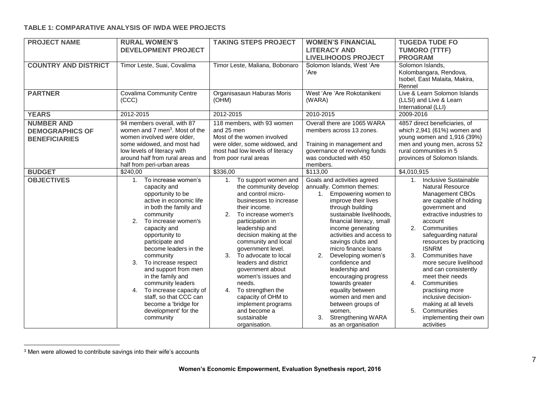#### **TABLE 1: COMPARATIVE ANALYSIS OF IWDA WEE PROJECTS**

| <b>PROJECT NAME</b>                                                 | <b>RURAL WOMEN'S</b><br><b>DEVELOPMENT PROJECT</b>                                                                                                                                                                                                                                                                                                                                                                                                                              | <b>TAKING STEPS PROJECT</b>                                                                                                                                                                                                                                                                                                                                                                                                                                                                                | <b>WOMEN'S FINANCIAL</b><br><b>LITERACY AND</b><br><b>LIVELIHOODS PROJECT</b>                                                                                                                                                                                                                                                                                                                                                                                                                                                  | <b>TUGEDA TUDE FO</b><br><b>TUMORO (TTTF)</b><br><b>PROGRAM</b>                                                                                                                                                                                                                                                                                                                                                                                                                                                        |
|---------------------------------------------------------------------|---------------------------------------------------------------------------------------------------------------------------------------------------------------------------------------------------------------------------------------------------------------------------------------------------------------------------------------------------------------------------------------------------------------------------------------------------------------------------------|------------------------------------------------------------------------------------------------------------------------------------------------------------------------------------------------------------------------------------------------------------------------------------------------------------------------------------------------------------------------------------------------------------------------------------------------------------------------------------------------------------|--------------------------------------------------------------------------------------------------------------------------------------------------------------------------------------------------------------------------------------------------------------------------------------------------------------------------------------------------------------------------------------------------------------------------------------------------------------------------------------------------------------------------------|------------------------------------------------------------------------------------------------------------------------------------------------------------------------------------------------------------------------------------------------------------------------------------------------------------------------------------------------------------------------------------------------------------------------------------------------------------------------------------------------------------------------|
| <b>COUNTRY AND DISTRICT</b>                                         | Timor Leste, Suai, Covalima                                                                                                                                                                                                                                                                                                                                                                                                                                                     | Timor Leste, Maliana, Bobonaro                                                                                                                                                                                                                                                                                                                                                                                                                                                                             | Solomon Islands, West 'Are<br>'Are                                                                                                                                                                                                                                                                                                                                                                                                                                                                                             | Solomon Islands.<br>Kolombangara, Rendova,<br>Isobel, East Malaita, Makira,<br>Rennel                                                                                                                                                                                                                                                                                                                                                                                                                                  |
| <b>PARTNER</b>                                                      | <b>Covalima Community Centre</b><br>(CCC)                                                                                                                                                                                                                                                                                                                                                                                                                                       | Organisasaun Haburas Moris<br>(OHM)                                                                                                                                                                                                                                                                                                                                                                                                                                                                        | West 'Are 'Are Rokotanikeni<br>(WARA)                                                                                                                                                                                                                                                                                                                                                                                                                                                                                          | Live & Learn Solomon Islands<br>(LLSI) and Live & Learn<br>International (LLI)                                                                                                                                                                                                                                                                                                                                                                                                                                         |
| <b>YEARS</b>                                                        | 2012-2015                                                                                                                                                                                                                                                                                                                                                                                                                                                                       | 2012-2015                                                                                                                                                                                                                                                                                                                                                                                                                                                                                                  | 2010-2015                                                                                                                                                                                                                                                                                                                                                                                                                                                                                                                      | 2009-2016                                                                                                                                                                                                                                                                                                                                                                                                                                                                                                              |
| <b>NUMBER AND</b><br><b>DEMOGRAPHICS OF</b><br><b>BENEFICIARIES</b> | 94 members overall, with 87<br>women and 7 men <sup>3</sup> . Most of the<br>women involved were older,<br>some widowed, and most had<br>low levels of literacy with<br>around half from rural areas and<br>half from peri-urban areas                                                                                                                                                                                                                                          | 118 members, with 93 women<br>and 25 men<br>Most of the women involved<br>were older, some widowed, and<br>most had low levels of literacy<br>from poor rural areas                                                                                                                                                                                                                                                                                                                                        | Overall there are 1065 WARA<br>members across 13 zones.<br>Training in management and<br>governance of revolving funds<br>was conducted with 450<br>members.                                                                                                                                                                                                                                                                                                                                                                   | 4857 direct beneficiaries, of<br>which 2,941 (61%) women and<br>young women and 1,916 (39%)<br>men and young men, across 52<br>rural communities in 5<br>provinces of Solomon Islands.                                                                                                                                                                                                                                                                                                                                 |
| <b>BUDGET</b>                                                       | \$240,00                                                                                                                                                                                                                                                                                                                                                                                                                                                                        | \$336,00                                                                                                                                                                                                                                                                                                                                                                                                                                                                                                   | \$113,00                                                                                                                                                                                                                                                                                                                                                                                                                                                                                                                       | \$4,010,915                                                                                                                                                                                                                                                                                                                                                                                                                                                                                                            |
| <b>OBJECTIVES</b>                                                   | To increase women's<br>1.<br>capacity and<br>opportunity to be<br>active in economic life<br>in both the family and<br>community<br>2.<br>To increase women's<br>capacity and<br>opportunity to<br>participate and<br>become leaders in the<br>community<br>3.<br>To increase respect<br>and support from men<br>in the family and<br>community leaders<br>To increase capacity of<br>4.<br>staff, so that CCC can<br>become a 'bridge for<br>development' for the<br>community | To support women and<br>$\mathbf{1}$ .<br>the community develop<br>and control micro-<br>businesses to increase<br>their income.<br>2.<br>To increase women's<br>participation in<br>leadership and<br>decision making at the<br>community and local<br>government level.<br>3.<br>To advocate to local<br>leaders and district<br>government about<br>women's issues and<br>needs.<br>4.<br>To strengthen the<br>capacity of OHM to<br>implement programs<br>and become a<br>sustainable<br>organisation. | Goals and activities agreed<br>annually. Common themes:<br>1. Empowering women to<br>improve their lives<br>through building<br>sustainable livelihoods,<br>financial literacy, small<br>income generating<br>activities and access to<br>savings clubs and<br>micro finance loans<br>Developing women's<br>2.<br>confidence and<br>leadership and<br>encouraging progress<br>towards greater<br>equality between<br>women and men and<br>between groups of<br>women,<br><b>Strengthening WARA</b><br>3.<br>as an organisation | <b>Inclusive Sustainable</b><br>1.<br><b>Natural Resource</b><br>Management CBOs<br>are capable of holding<br>government and<br>extractive industries to<br>account<br>2.<br>Communities<br>safeguarding natural<br>resources by practicing<br><b>ISNRM</b><br><b>Communities have</b><br>3.<br>more secure livelihood<br>and can consistently<br>meet their needs<br>4.<br>Communities<br>practising more<br>inclusive decision-<br>making at all levels<br>5.<br>Communities<br>implementing their own<br>activities |

 $3$  Men were allowed to contribute savings into their wife's accounts

-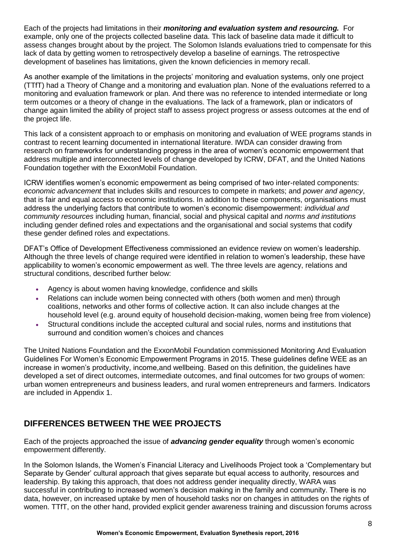Each of the projects had limitations in their *monitoring and evaluation system and resourcing.* For example, only one of the projects collected baseline data. This lack of baseline data made it difficult to assess changes brought about by the project. The Solomon Islands evaluations tried to compensate for this lack of data by getting women to retrospectively develop a baseline of earnings. The retrospective development of baselines has limitations, given the known deficiencies in memory recall.

As another example of the limitations in the projects' monitoring and evaluation systems, only one project (TTfT) had a Theory of Change and a monitoring and evaluation plan. None of the evaluations referred to a monitoring and evaluation framework or plan. And there was no reference to intended intermediate or long term outcomes or a theory of change in the evaluations. The lack of a framework, plan or indicators of change again limited the ability of project staff to assess project progress or assess outcomes at the end of the project life.

This lack of a consistent approach to or emphasis on monitoring and evaluation of WEE programs stands in contrast to recent learning documented in international literature. IWDA can consider drawing from research on frameworks for understanding progress in the area of women's economic empowerment that address multiple and interconnected levels of change developed by ICRW, DFAT, and the United Nations Foundation together with the ExxonMobil Foundation.

ICRW identifies women's economic empowerment as being comprised of two inter-related components: *economic advancement* that includes skills and resources to compete in markets; and *power and agency*, that is fair and equal access to economic institutions. In addition to these components, organisations must address the underlying factors that contribute to women's economic disempowerment: *individual and community resources* including human, financial, social and physical capital and *norms and institutions*  including gender defined roles and expectations and the organisational and social systems that codify these gender defined roles and expectations.

DFAT's Office of Development Effectiveness commissioned an evidence review on women's leadership. Although the three levels of change required were identified in relation to women's leadership, these have applicability to women's economic empowerment as well. The three levels are agency, relations and structural conditions, described further below:

- Agency is about women having knowledge, confidence and skills
- Relations can include women being connected with others (both women and men) through coalitions, networks and other forms of collective action. It can also include changes at the household level (e.g. around equity of household decision-making, women being free from violence)
- Structural conditions include the accepted cultural and social rules, norms and institutions that surround and condition women's choices and chances

The United Nations Foundation and the ExxonMobil Foundation commissioned Monitoring And Evaluation Guidelines For Women's Economic Empowerment Programs in 2015. These guidelines define WEE as an increase in women's productivity, income,and wellbeing. Based on this definition, the guidelines have developed a set of direct outcomes, intermediate outcomes, and final outcomes for two groups of women: urban women entrepreneurs and business leaders, and rural women entrepreneurs and farmers. Indicators are included in Appendix 1.

## **DIFFERENCES BETWEEN THE WEE PROJECTS**

Each of the projects approached the issue of *advancing gender equality* through women's economic empowerment differently.

In the Solomon Islands, the Women's Financial Literacy and Livelihoods Project took a 'Complementary but Separate by Gender' cultural approach that gives separate but equal access to authority, resources and leadership. By taking this approach, that does not address gender inequality directly, WARA was successful in contributing to increased women's decision making in the family and community. There is no data, however, on increased uptake by men of household tasks nor on changes in attitudes on the rights of women. TTfT, on the other hand, provided explicit gender awareness training and discussion forums across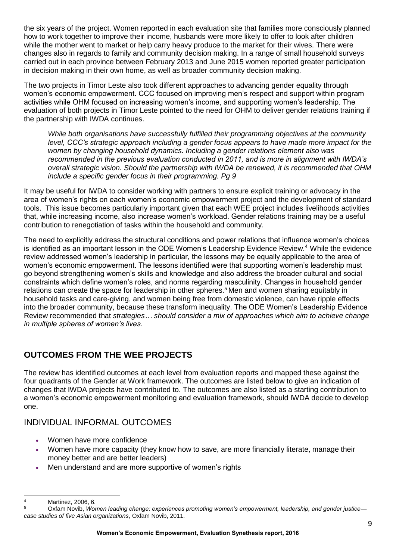the six years of the project. Women reported in each evaluation site that families more consciously planned how to work together to improve their income, husbands were more likely to offer to look after children while the mother went to market or help carry heavy produce to the market for their wives. There were changes also in regards to family and community decision making. In a range of small household surveys carried out in each province between February 2013 and June 2015 women reported greater participation in decision making in their own home, as well as broader community decision making.

The two projects in Timor Leste also took different approaches to advancing gender equality through women's economic empowerment. CCC focused on improving men's respect and support within program activities while OHM focused on increasing women's income, and supporting women's leadership. The evaluation of both projects in Timor Leste pointed to the need for OHM to deliver gender relations training if the partnership with IWDA continues.

*While both organisations have successfully fulfilled their programming objectives at the community level, CCC's strategic approach including a gender focus appears to have made more impact for the women by changing household dynamics. Including a gender relations element also was recommended in the previous evaluation conducted in 2011, and is more in alignment with IWDA's overall strategic vision. Should the partnership with IWDA be renewed, it is recommended that OHM include a specific gender focus in their programming. Pg 9*

It may be useful for IWDA to consider working with partners to ensure explicit training or advocacy in the area of women's rights on each women's economic empowerment project and the development of standard tools. This issue becomes particularly important given that each WEE project includes livelihoods activities that, while increasing income, also increase women's workload. Gender relations training may be a useful contribution to renegotiation of tasks within the household and community.

The need to explicitly address the structural conditions and power relations that influence women's choices is identified as an important lesson in the ODE Women's Leadership Evidence Review.<sup>4</sup>While the evidence review addressed women's leadership in particular, the lessons may be equally applicable to the area of women's economic empowerment. The lessons identified were that supporting women's leadership must go beyond strengthening women's skills and knowledge and also address the broader cultural and social constraints which define women's roles, and norms regarding masculinity. Changes in household gender relations can create the space for leadership in other spheres.<sup>5</sup> Men and women sharing equitably in household tasks and care-giving, and women being free from domestic violence, can have ripple effects into the broader community, because these transform inequality. The ODE Women's Leadership Evidence Review recommended that *strategies… should consider a mix of approaches which aim to achieve change in multiple spheres of women's lives.* 

## **OUTCOMES FROM THE WEE PROJECTS**

The review has identified outcomes at each level from evaluation reports and mapped these against the four quadrants of the Gender at Work framework. The outcomes are listed below to give an indication of changes that IWDA projects have contributed to. The outcomes are also listed as a starting contribution to a women's economic empowerment monitoring and evaluation framework, should IWDA decide to develop one.

### INDIVIDUAL INFORMAL OUTCOMES

- Women have more confidence
- Women have more capacity (they know how to save, are more financially literate, manage their money better and are better leaders)
- Men understand and are more supportive of women's rights

<sup>-</sup>4 Martinez, 2006, 6.

<sup>5</sup> Oxfam Novib, *Women leading change: experiences promoting women's empowerment, leadership, and gender justice case studies of five Asian organizations*, Oxfam Novib, 2011.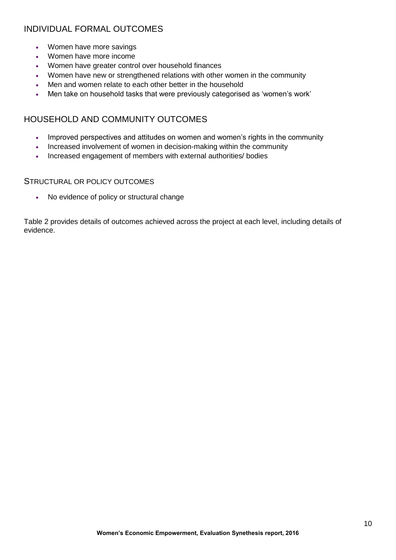## INDIVIDUAL FORMAL OUTCOMES

- Women have more savings
- Women have more income
- Women have greater control over household finances
- Women have new or strengthened relations with other women in the community
- Men and women relate to each other better in the household
- Men take on household tasks that were previously categorised as 'women's work'

### HOUSEHOLD AND COMMUNITY OUTCOMES

- Improved perspectives and attitudes on women and women's rights in the community
- Increased involvement of women in decision-making within the community
- Increased engagement of members with external authorities/ bodies

#### STRUCTURAL OR POLICY OUTCOMES

• No evidence of policy or structural change

Table 2 provides details of outcomes achieved across the project at each level, including details of evidence.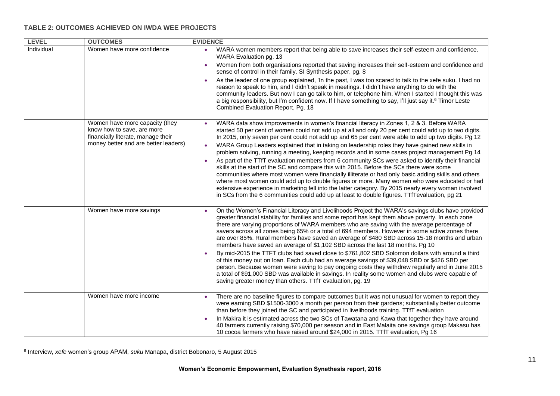#### **TABLE 2: OUTCOMES ACHIEVED ON IWDA WEE PROJECTS**

| <b>LEVEL</b> | <b>OUTCOMES</b>                                                                                    | <b>EVIDENCE</b>                                                                                                                                                                                                                                                                                                                                                                                                                                                                                                                                                                                               |
|--------------|----------------------------------------------------------------------------------------------------|---------------------------------------------------------------------------------------------------------------------------------------------------------------------------------------------------------------------------------------------------------------------------------------------------------------------------------------------------------------------------------------------------------------------------------------------------------------------------------------------------------------------------------------------------------------------------------------------------------------|
| Individual   | Women have more confidence                                                                         | WARA women members report that being able to save increases their self-esteem and confidence.<br>WARA Evaluation pg. 13                                                                                                                                                                                                                                                                                                                                                                                                                                                                                       |
|              |                                                                                                    | Women from both organisations reported that saving increases their self-esteem and confidence and<br>$\bullet$<br>sense of control in their family. SI Synthesis paper, pg. 8                                                                                                                                                                                                                                                                                                                                                                                                                                 |
|              |                                                                                                    | As the leader of one group explained, 'In the past, I was too scared to talk to the xefe suku. I had no<br>$\bullet$<br>reason to speak to him, and I didn't speak in meetings. I didn't have anything to do with the<br>community leaders. But now I can go talk to him, or telephone him. When I started I thought this was<br>a big responsibility, but I'm confident now. If I have something to say, I'll just say it. <sup>6</sup> Timor Leste<br>Combined Evaluation Report, Pg. 18                                                                                                                    |
|              | Women have more capacity (they<br>know how to save, are more<br>financially literate, manage their | WARA data show improvements in women's financial literacy in Zones 1, 2 & 3. Before WARA<br>started 50 per cent of women could not add up at all and only 20 per cent could add up to two digits.<br>In 2015, only seven per cent could not add up and 65 per cent were able to add up two digits. Pg 12                                                                                                                                                                                                                                                                                                      |
|              | money better and are better leaders)                                                               | WARA Group Leaders explained that in taking on leadership roles they have gained new skills in<br>problem solving, running a meeting, keeping records and in some cases project management Pg 14                                                                                                                                                                                                                                                                                                                                                                                                              |
|              |                                                                                                    | As part of the TTfT evaluation members from 6 community SCs were asked to identify their financial<br>skills at the start of the SC and compare this with 2015. Before the SCs there were some<br>communities where most women were financially illiterate or had only basic adding skills and others<br>where most women could add up to double figures or more. Many women who were educated or had<br>extensive experience in marketing fell into the latter category. By 2015 nearly every woman involved<br>in SCs from the 6 communities could add up at least to double figures. TTfTevaluation, pg 21 |
|              | Women have more savings                                                                            | On the Women's Financial Literacy and Livelihoods Project the WARA's savings clubs have provided<br>greater financial stability for families and some report has kept them above poverty. In each zone<br>there are varying proportions of WARA members who are saving with the average percentage of<br>savers across all zones being 65% or a total of 694 members. However in some active zones there<br>are over 85%. Rural members have saved an average of \$480 SBD across 15-18 months and urban<br>members have saved an average of \$1,102 SBD across the last 18 months. Pg 10                     |
|              |                                                                                                    | By mid-2015 the TTFT clubs had saved close to \$761,802 SBD Solomon dollars with around a third<br>of this money out on loan. Each club had an average savings of \$39,048 SBD or \$426 SBD per<br>person. Because women were saving to pay ongoing costs they withdrew regularly and in June 2015<br>a total of \$91,000 SBD was available in savings. In reality some women and clubs were capable of<br>saving greater money than others. TTfT evaluation, pg. 19                                                                                                                                          |
|              | Women have more income                                                                             | There are no baseline figures to compare outcomes but it was not unusual for women to report they<br>$\bullet$<br>were earning SBD \$1500-3000 a month per person from their gardens; substantially better outcome<br>than before they joined the SC and participated in livelihoods training. TTfT evaluation                                                                                                                                                                                                                                                                                                |
|              |                                                                                                    | In Makira it is estimated across the two SCs of Tawatana and Kawa that together they have around<br>40 farmers currently raising \$70,000 per season and in East Malaita one savings group Makasu has<br>10 cocoa farmers who have raised around \$24,000 in 2015. TTfT evaluation, Pg 16                                                                                                                                                                                                                                                                                                                     |

 6 Interview, *xefe* women's group APAM, *suku* Manapa, district Bobonaro, 5 August 2015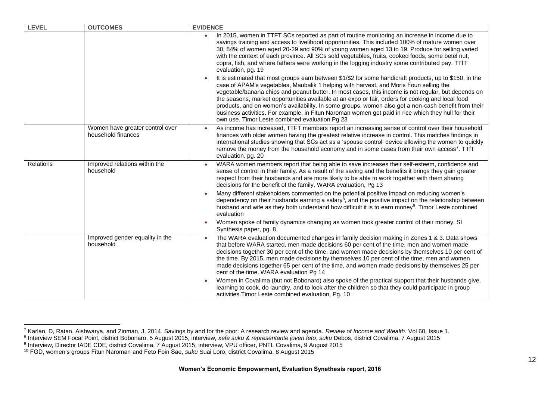| <b>LEVEL</b> | <b>OUTCOMES</b>                                       | <b>EVIDENCE</b>                                                                                                                                                                                                                                                                                                                                                                                                                                                                                                                                                                                                                                                               |
|--------------|-------------------------------------------------------|-------------------------------------------------------------------------------------------------------------------------------------------------------------------------------------------------------------------------------------------------------------------------------------------------------------------------------------------------------------------------------------------------------------------------------------------------------------------------------------------------------------------------------------------------------------------------------------------------------------------------------------------------------------------------------|
|              |                                                       | In 2015, women in TTFT SCs reported as part of routine monitoring an increase in income due to<br>savings training and access to livelihood opportunities. This included 100% of mature women over<br>30, 84% of women aged 20-29 and 90% of young women aged 13 to 19. Produce for selling varied<br>with the context of each province. All SCs sold vegetables, fruits, cooked foods, some betel nut,<br>copra, fish, and where fathers were working in the logging industry some contributed pay. TTfT<br>evaluation, pg. 19                                                                                                                                               |
|              |                                                       | It is estimated that most groups earn between \$1/\$2 for some handicraft products, up to \$150, in the<br>case of APAM's vegetables, Maubalik 1 helping with harvest, and Moris Foun selling the<br>vegetable/banana chips and peanut butter. In most cases, this income is not regular, but depends on<br>the seasons, market opportunities available at an expo or fair, orders for cooking and local food<br>products, and on women's availability. In some groups, women also get a non-cash benefit from their<br>business activities. For example, in Fitun Naroman women get paid in rice which they hull for their<br>own use. Timor Leste combined evaluation Pg 23 |
|              | Women have greater control over<br>household finances | As income has increased, TTFT members report an increasing sense of control over their household<br>$\bullet$<br>finances with older women having the greatest relative increase in control. This matches findings in<br>international studies showing that SCs act as a 'spouse control' device allowing the women to quickly<br>remove the money from the household economy and in some cases from their own access <sup>7</sup> . TTfT<br>evaluation, pg. 20                                                                                                                                                                                                               |
| Relations    | Improved relations within the<br>household            | WARA women members report that being able to save increases their self-esteem, confidence and<br>$\bullet$<br>sense of control in their family. As a result of the saving and the benefits it brings they gain greater<br>respect from their husbands and are more likely to be able to work together with them sharing<br>decisions for the benefit of the family. WARA evaluation, Pg 13                                                                                                                                                                                                                                                                                    |
|              |                                                       | Many different stakeholders commented on the potential positive impact on reducing women's<br>dependency on their husbands earning a salary <sup>8</sup> , and the positive impact on the relationship between<br>husband and wife as they both understand how difficult it is to earn money <sup>9</sup> . Timor Leste combined<br>evaluation                                                                                                                                                                                                                                                                                                                                |
|              |                                                       | Women spoke of family dynamics changing as women took greater control of their money. SI<br>Synthesis paper, pg. 8                                                                                                                                                                                                                                                                                                                                                                                                                                                                                                                                                            |
|              | Improved gender equality in the<br>household          | The WARA evaluation documented changes in family decision making in Zones 1 & 3. Data shows<br>$\bullet$<br>that before WARA started, men made decisions 60 per cent of the time, men and women made<br>decisions together 30 per cent of the time, and women made decisions by themselves 10 per cent of<br>the time. By 2015, men made decisions by themselves 10 per cent of the time, men and women<br>made decisions together 65 per cent of the time, and women made decisions by themselves 25 per<br>cent of the time. WARA evaluation Pg 14                                                                                                                          |
|              |                                                       | Women in Covalima (but not Bobonaro) also spoke of the practical support that their husbands give,<br>learning to cook, do laundry, and to look after the children so that they could participate in group<br>activities. Timor Leste combined evaluation, Pg. 10                                                                                                                                                                                                                                                                                                                                                                                                             |

-

<sup>&</sup>lt;sup>7</sup> Karlan, D, Ratan, Aishwarya, and Zinman, J. 2014. Savings by and for the poor: A research review and agenda. *Review of Income and Wealth*. Vol 60, Issue 1.<br><sup>8</sup> Interview SEM Focal Point, district Bobonaro, 5 August 20

<sup>10</sup> FGD, women's groups Fitun Naroman and Feto Foin Sae, *suku* Suai Loro, district Covalima, 8 August 2015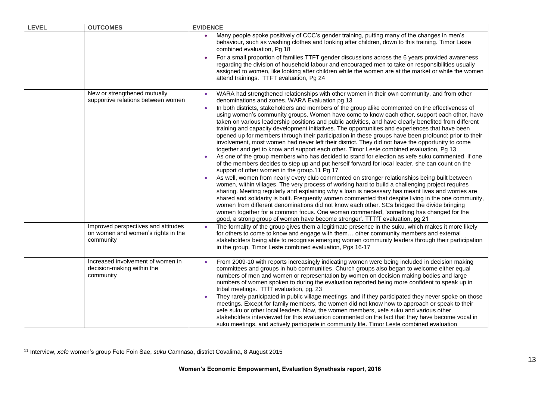| <b>LEVEL</b> | <b>OUTCOMES</b>                                                                        | <b>EVIDENCE</b>                                                                                                                                                                                                                                                                                                                                                                                                                                                                                                                                                                                                                                                                                                                                                                                                                                                                                                                                                                                                                                                                                                                                                                                                                                                                                                                                                                                                                                                                                                                                                                                                                                                                                                                                                                                                          |
|--------------|----------------------------------------------------------------------------------------|--------------------------------------------------------------------------------------------------------------------------------------------------------------------------------------------------------------------------------------------------------------------------------------------------------------------------------------------------------------------------------------------------------------------------------------------------------------------------------------------------------------------------------------------------------------------------------------------------------------------------------------------------------------------------------------------------------------------------------------------------------------------------------------------------------------------------------------------------------------------------------------------------------------------------------------------------------------------------------------------------------------------------------------------------------------------------------------------------------------------------------------------------------------------------------------------------------------------------------------------------------------------------------------------------------------------------------------------------------------------------------------------------------------------------------------------------------------------------------------------------------------------------------------------------------------------------------------------------------------------------------------------------------------------------------------------------------------------------------------------------------------------------------------------------------------------------|
|              |                                                                                        | Many people spoke positively of CCC's gender training, putting many of the changes in men's<br>behaviour, such as washing clothes and looking after children, down to this training. Timor Leste<br>combined evaluation, Pg 18                                                                                                                                                                                                                                                                                                                                                                                                                                                                                                                                                                                                                                                                                                                                                                                                                                                                                                                                                                                                                                                                                                                                                                                                                                                                                                                                                                                                                                                                                                                                                                                           |
|              |                                                                                        | For a small proportion of families TTFT gender discussions across the 6 years provided awareness<br>regarding the division of household labour and encouraged men to take on responsibilities usually<br>assigned to women, like looking after children while the women are at the market or while the women<br>attend trainings. TTFT evaluation, Pg 24                                                                                                                                                                                                                                                                                                                                                                                                                                                                                                                                                                                                                                                                                                                                                                                                                                                                                                                                                                                                                                                                                                                                                                                                                                                                                                                                                                                                                                                                 |
|              | New or strengthened mutually<br>supportive relations between women                     | WARA had strengthened relationships with other women in their own community, and from other<br>denominations and zones. WARA Evaluation pg 13<br>In both districts, stakeholders and members of the group alike commented on the effectiveness of<br>using women's community groups. Women have come to know each other, support each other, have<br>taken on various leadership positions and public activities, and have clearly benefited from different<br>training and capacity development initiatives. The opportunities and experiences that have been<br>opened up for members through their participation in these groups have been profound: prior to their<br>involvement, most women had never left their district. They did not have the opportunity to come<br>together and get to know and support each other. Timor Leste combined evaluation, Pg 13<br>As one of the group members who has decided to stand for election as xefe suku commented, if one<br>of the members decides to step up and put herself forward for local leader, she can count on the<br>support of other women in the group.11 Pg 17<br>As well, women from nearly every club commented on stronger relationships being built between<br>women, within villages. The very process of working hard to build a challenging project requires<br>sharing. Meeting regularly and explaining why a loan is necessary has meant lives and worries are<br>shared and solidarity is built. Frequently women commented that despite living in the one community,<br>women from different denominations did not know each other. SCs bridged the divide bringing<br>women together for a common focus. One woman commented, 'something has changed for the<br>good, a strong group of women have become stronger'. TTTfT evaluation, pg 21 |
|              | Improved perspectives and attitudes<br>on women and women's rights in the<br>community | The formality of the group gives them a legitimate presence in the suku, which makes it more likely<br>for others to come to know and engage with them other community members and external<br>stakeholders being able to recognise emerging women community leaders through their participation<br>in the group. Timor Leste combined evaluation, Pgs 16-17                                                                                                                                                                                                                                                                                                                                                                                                                                                                                                                                                                                                                                                                                                                                                                                                                                                                                                                                                                                                                                                                                                                                                                                                                                                                                                                                                                                                                                                             |
|              | Increased involvement of women in<br>decision-making within the<br>community           | From 2009-10 with reports increasingly indicating women were being included in decision making<br>committees and groups in hub communities. Church groups also began to welcome either equal<br>numbers of men and women or representation by women on decision making bodies and large<br>numbers of women spoken to during the evaluation reported being more confident to speak up in<br>tribal meetings. TTfT evaluation, pg. 23<br>They rarely participated in public village meetings, and if they participated they never spoke on those<br>meetings. Except for family members, the women did not know how to approach or speak to their<br>xefe suku or other local leaders. Now, the women members, xefe suku and various other<br>stakeholders interviewed for this evaluation commented on the fact that they have become vocal in<br>suku meetings, and actively participate in community life. Timor Leste combined evaluation                                                                                                                                                                                                                                                                                                                                                                                                                                                                                                                                                                                                                                                                                                                                                                                                                                                                             |

<sup>-</sup><sup>11</sup> Interview, *xefe* women's group Feto Foin Sae, *suku* Camnasa, district Covalima, 8 August 2015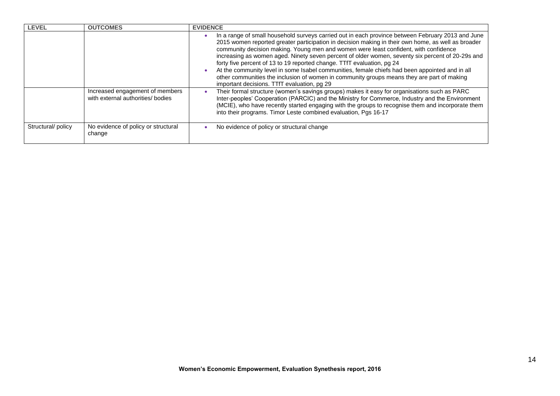| <b>LEVEL</b>      | <b>OUTCOMES</b>                                                      | <b>EVIDENCE</b>                                                                                                                                                                                                                                                                                                                                                                                                                                                                                                                                                                                                                                                                                                              |
|-------------------|----------------------------------------------------------------------|------------------------------------------------------------------------------------------------------------------------------------------------------------------------------------------------------------------------------------------------------------------------------------------------------------------------------------------------------------------------------------------------------------------------------------------------------------------------------------------------------------------------------------------------------------------------------------------------------------------------------------------------------------------------------------------------------------------------------|
|                   |                                                                      | In a range of small household surveys carried out in each province between February 2013 and June<br>2015 women reported greater participation in decision making in their own home, as well as broader<br>community decision making. Young men and women were least confident, with confidence<br>increasing as women aged. Ninety seven percent of older women, seventy six percent of 20-29s and<br>forty five percent of 13 to 19 reported change. TTfT evaluation, pg 24<br>At the community level in some Isabel communities, female chiefs had been appointed and in all<br>other communities the inclusion of women in community groups means they are part of making<br>important decisions. TTfT evaluation, pg 29 |
|                   | Increased engagement of members<br>with external authorities/ bodies | Their formal structure (women's savings groups) makes it easy for organisations such as PARC<br>Inter-peoples' Cooperation (PARCIC) and the Ministry for Commerce, Industry and the Environment<br>(MCIE), who have recently started engaging with the groups to recognise them and incorporate them<br>into their programs. Timor Leste combined evaluation, Pgs 16-17                                                                                                                                                                                                                                                                                                                                                      |
| Structural/policy | No evidence of policy or structural<br>change                        | No evidence of policy or structural change                                                                                                                                                                                                                                                                                                                                                                                                                                                                                                                                                                                                                                                                                   |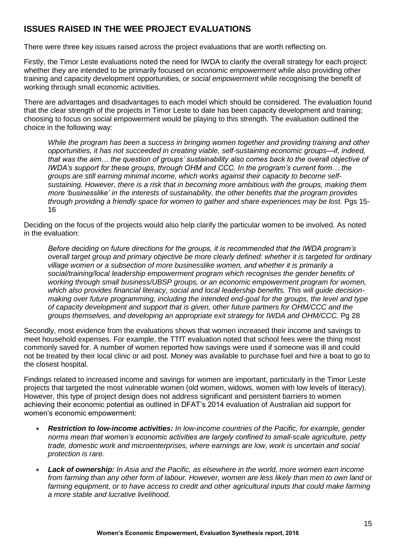### **ISSUES RAISED IN THE WEE PROJECT EVALUATIONS**

There were three key issues raised across the project evaluations that are worth reflecting on.

Firstly, the Timor Leste evaluations noted the need for IWDA to clarify the overall strategy for each project: whether they are intended to be primarily focused on *economic empowerment* while also providing other training and capacity development opportunities, or *social empowerment* while recognising the benefit of working through small economic activities.

There are advantages and disadvantages to each model which should be considered. The evaluation found that the clear strength of the projects in Timor Leste to date has been capacity development and training; choosing to focus on social empowerment would be playing to this strength. The evaluation outlined the choice in the following way:

*While the program has been a success in bringing women together and providing training and other opportunities, it has not succeeded in creating viable, self-sustaining economic groups—if, indeed, that was the aim… the question of groups' sustainability also comes back to the overall objective of IWDA's support for these groups, through OHM and CCC. In the program's current form… the groups are still earning minimal income, which works against their capacity to become selfsustaining. However, there is a risk that in becoming more ambitious with the groups, making them more 'businesslike' in the interests of sustainability, the other benefits that the program provides through providing a friendly space for women to gather and share experiences may be lost.* Pgs 15- 16

Deciding on the focus of the projects would also help clarify the particular women to be involved. As noted in the evaluation:

*Before deciding on future directions for the groups, it is recommended that the IWDA program's overall target group and primary objective be more clearly defined: whether it is targeted for ordinary village women or a subsection of more businesslike women, and whether it is primarily a social/training/local leadership empowerment program which recognises the gender benefits of working through small business/UBSP groups, or an economic empowerment program for women, which also provides financial literacy, social and local leadership benefits. This will guide decisionmaking over future programming, including the intended end-goal for the groups, the level and type of capacity development and support that is given, other future partners for OHM/CCC and the groups themselves, and developing an appropriate exit strategy for IWDA and OHM/CCC.* Pg 28

Secondly, most evidence from the evaluations shows that women increased their income and savings to meet household expenses. For example, the TTfT evaluation noted that school fees were the thing most commonly saved for. A number of women reported how savings were used if someone was ill and could not be treated by their local clinic or aid post. Money was available to purchase fuel and hire a boat to go to the closest hospital.

Findings related to increased income and savings for women are important, particularly in the Timor Leste projects that targeted the most vulnerable women (old women, widows, women with low levels of literacy). However, this type of project design does not address significant and persistent barriers to women achieving their economic potential as outlined in DFAT's 2014 evaluation of Australian aid support for women's economic empowerment:

- *Restriction to low-income activities: In low-income countries of the Pacific, for example, gender norms mean that women's economic activities are largely confined to small-scale agriculture, petty trade, domestic work and microenterprises, where earnings are low, work is uncertain and social protection is rare.*
- *Lack of ownership: In Asia and the Pacific, as elsewhere in the world, more women earn income from farming than any other form of labour. However, women are less likely than men to own land or farming equipment, or to have access to credit and other agricultural inputs that could make farming a more stable and lucrative livelihood.*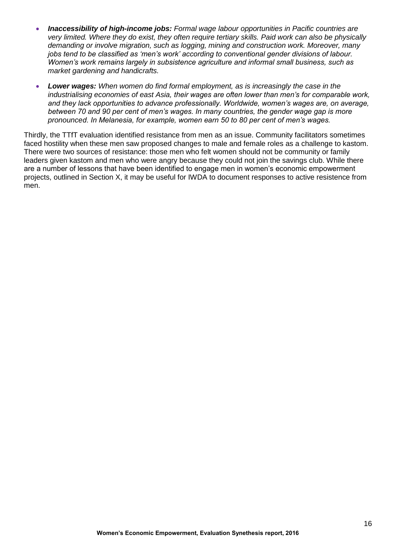- *Inaccessibility of high-income jobs: Formal wage labour opportunities in Pacific countries are very limited. Where they do exist, they often require tertiary skills. Paid work can also be physically demanding or involve migration, such as logging, mining and construction work. Moreover, many jobs tend to be classified as 'men's work' according to conventional gender divisions of labour. Women's work remains largely in subsistence agriculture and informal small business, such as market gardening and handicrafts.*
- *Lower wages: When women do find formal employment, as is increasingly the case in the industrialising economies of east Asia, their wages are often lower than men's for comparable work, and they lack opportunities to advance professionally. Worldwide, women's wages are, on average, between 70 and 90 per cent of men's wages. In many countries, the gender wage gap is more pronounced. In Melanesia, for example, women earn 50 to 80 per cent of men's wages.*

Thirdly, the TTfT evaluation identified resistance from men as an issue. Community facilitators sometimes faced hostility when these men saw proposed changes to male and female roles as a challenge to kastom. There were two sources of resistance: those men who felt women should not be community or family leaders given kastom and men who were angry because they could not join the savings club. While there are a number of lessons that have been identified to engage men in women's economic empowerment projects, outlined in Section X, it may be useful for IWDA to document responses to active resistence from men.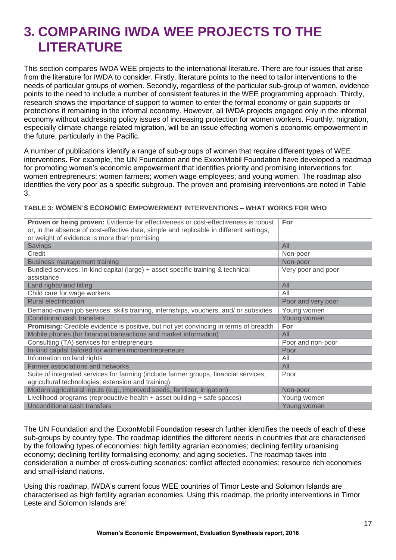# **3. COMPARING IWDA WEE PROJECTS TO THE LITERATURE**

This section compares IWDA WEE projects to the international literature. There are four issues that arise from the literature for IWDA to consider. Firstly, literature points to the need to tailor interventions to the needs of particular groups of women. Secondly, regardless of the particular sub-group of women, evidence points to the need to include a number of consistent features in the WEE programming approach. Thirdly, research shows the importance of support to women to enter the formal economy or gain supports or protections if remaining in the informal economy. However, all IWDA projects engaged only in the informal economy without addressing policy issues of increasing protection for women workers. Fourthly, migration, especially climate-change related migration, will be an issue effecting women's economic empowerment in the future, particularly in the Pacific.

A number of publications identify a range of sub-groups of women that require different types of WEE interventions. For example, the UN Foundation and the ExxonMobil Foundation have developed a roadmap for promoting women's economic empowerment that identifies priority and promising interventions for: women entrepreneurs; women farmers; women wage employees; and young women. The roadmap also identifies the very poor as a specific subgroup. The proven and promising interventions are noted in Table 3.

#### **TABLE 3: WOMEN'S ECONOMIC EMPOWERMENT INTERVENTIONS – WHAT WORKS FOR WHO**

| Proven or being proven: Evidence for effectiveness or cost-effectiveness is robust            | For                |
|-----------------------------------------------------------------------------------------------|--------------------|
| or, in the absence of cost-effective data, simple and replicable in different settings,       |                    |
| or weight of evidence is more than promising                                                  |                    |
| <b>Savings</b>                                                                                | All                |
| Credit                                                                                        | Non-poor           |
| Business management training                                                                  | Non-poor           |
| Bundled services: In-kind capital (large) + asset-specific training & technical<br>assistance | Very poor and poor |
| Land rights/land titling                                                                      | All                |
| Child care for wage workers                                                                   | All                |
| <b>Rural electrification</b>                                                                  | Poor and very poor |
| Demand-driven job services: skills training, internships, vouchers, and/ or subsidies         | Young women        |
| <b>Conditional cash transfers</b>                                                             | Young women        |
| Promising: Credible evidence is positive, but not yet convincing in terms of breadth          | For                |
| Mobile phones (for financial transactions and market information)                             | All                |
| Consulting (TA) services for entrepreneurs                                                    | Poor and non-poor  |
| In-kind capital tailored for women microentrepreneurs                                         | Poor               |
| Information on land rights                                                                    | All                |
| <b>Farmer associations and networks</b>                                                       | All                |
| Suite of integrated services for farming (include farmer groups, financial services,          | Poor               |
| agricultural technologies, extension and training)                                            |                    |
| Modern agricultural inputs (e.g., improved seeds, fertilizer, irrigation)                     | Non-poor           |
| Livelihood programs (reproductive health + asset building + safe spaces)                      | Young women        |
| Unconditional cash transfers                                                                  | Young women        |

The UN Foundation and the ExxonMobil Foundation research further identifies the needs of each of these sub-groups by country type. The roadmap identifies the different needs in countries that are characterised by the following types of economies: high fertility agrarian economies; declining fertility urbanising economy; declining fertility formalising economy; and aging societies. The roadmap takes into consideration a number of cross-cutting scenarios: conflict affected economies; resource rich economies and small-island nations.

Using this roadmap, IWDA's current focus WEE countries of Timor Leste and Solomon Islands are characterised as high fertility agrarian economies. Using this roadmap, the priority interventions in Timor Leste and Solomon Islands are: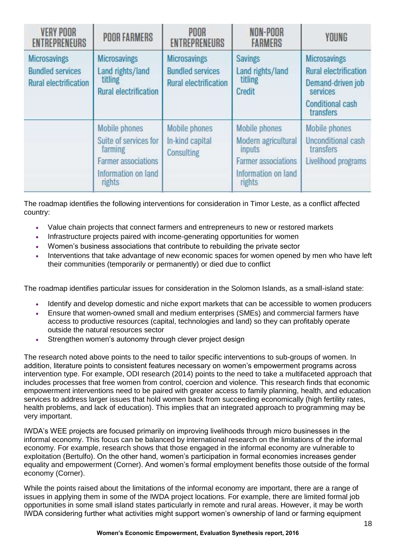| <b>VERY POOR</b><br><b>ENTREPRENEURS</b>                                       | <b>POOR FARMERS</b>                                                                                              | POOR<br><b>ENTREPRENEURS</b>                                                   | NON-POOR<br><b>FARMERS</b>                                                                                    | <b>YOUNG</b>                                                                                                                 |
|--------------------------------------------------------------------------------|------------------------------------------------------------------------------------------------------------------|--------------------------------------------------------------------------------|---------------------------------------------------------------------------------------------------------------|------------------------------------------------------------------------------------------------------------------------------|
| <b>Microsavings</b><br><b>Bundled services</b><br><b>Rural electrification</b> | <b>Microsavings</b><br>Land rights/land<br>titling<br><b>Rural electrification</b>                               | <b>Microsavings</b><br><b>Bundled services</b><br><b>Rural electrification</b> | <b>Savings</b><br>Land rights/land<br>titling<br>Credit                                                       | <b>Microsavings</b><br><b>Rural electrification</b><br>Demand-driven job<br>services<br><b>Conditional cash</b><br>transfers |
|                                                                                | Mobile phones<br>Suite of services for<br>farming<br><b>Farmer associations</b><br>Information on land<br>rights | Mobile phones<br>In-kind capital<br>Consulting                                 | Mobile phones<br>Modern agricultural<br>inputs<br><b>Farmer associations</b><br>Information on land<br>rights | Mobile phones<br><b>Unconditional cash</b><br>transfers<br>Livelihood programs                                               |

The roadmap identifies the following interventions for consideration in Timor Leste, as a conflict affected country:

- Value chain projects that connect farmers and entrepreneurs to new or restored markets
- Infrastructure projects paired with income-generating opportunities for women
- Women's business associations that contribute to rebuilding the private sector
- Interventions that take advantage of new economic spaces for women opened by men who have left their communities (temporarily or permanently) or died due to conflict

The roadmap identifies particular issues for consideration in the Solomon Islands, as a small-island state:

- Identify and develop domestic and niche export markets that can be accessible to women producers
- Ensure that women-owned small and medium enterprises (SMEs) and commercial farmers have access to productive resources (capital, technologies and land) so they can profitably operate outside the natural resources sector
- Strengthen women's autonomy through clever project design

The research noted above points to the need to tailor specific interventions to sub-groups of women. In addition, literature points to consistent features necessary on women's empowerment programs across intervention type. For example, ODI research (2014) points to the need to take a multifaceted approach that includes processes that free women from control, coercion and violence. This research finds that economic empowerment interventions need to be paired with greater access to family planning, health, and education services to address larger issues that hold women back from succeeding economically (high fertility rates, health problems, and lack of education). This implies that an integrated approach to programming may be very important.

IWDA's WEE projects are focused primarily on improving livelihoods through micro businesses in the informal economy. This focus can be balanced by international research on the limitations of the informal economy. For example, research shows that those engaged in the informal economy are vulnerable to exploitation (Bertulfo). On the other hand, women's participation in formal economies increases gender equality and empowerment (Corner). And women's formal employment benefits those outside of the formal economy (Corner).

While the points raised about the limitations of the informal economy are important, there are a range of issues in applying them in some of the IWDA project locations. For example, there are limited formal job opportunities in some small island states particularly in remote and rural areas. However, it may be worth IWDA considering further what activities might support women's ownership of land or farming equipment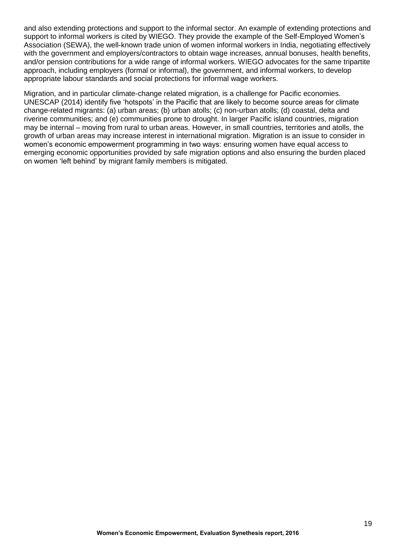and also extending protections and support to the informal sector. An example of extending protections and support to informal workers is cited by WIEGO. They provide the example of the Self-Employed Women's Association (SEWA), the well-known trade union of women informal workers in India, negotiating effectively with the government and employers/contractors to obtain wage increases, annual bonuses, health benefits, and/or pension contributions for a wide range of informal workers. WIEGO advocates for the same tripartite approach, including employers (formal or informal), the government, and informal workers, to develop appropriate labour standards and social protections for informal wage workers.

Migration, and in particular climate-change related migration, is a challenge for Pacific economies. UNESCAP (2014) identify five 'hotspots' in the Pacific that are likely to become source areas for climate change-related migrants: (a) urban areas; (b) urban atolls; (c) non-urban atolls; (d) coastal, delta and riverine communities; and (e) communities prone to drought. In larger Pacific island countries, migration may be internal – moving from rural to urban areas. However, in small countries, territories and atolls, the growth of urban areas may increase interest in international migration. Migration is an issue to consider in women's economic empowerment programming in two ways: ensuring women have equal access to emerging economic opportunities provided by safe migration options and also ensuring the burden placed on women 'left behind' by migrant family members is mitigated.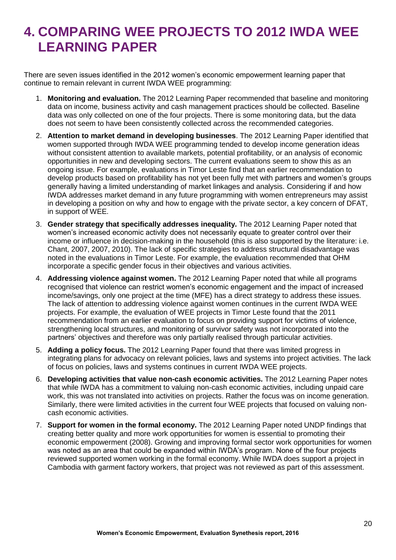# **4. COMPARING WEE PROJECTS TO 2012 IWDA WEE LEARNING PAPER**

There are seven issues identified in the 2012 women's economic empowerment learning paper that continue to remain relevant in current IWDA WEE programming:

- 1. **Monitoring and evaluation.** The 2012 Learning Paper recommended that baseline and monitoring data on income, business activity and cash management practices should be collected. Baseline data was only collected on one of the four projects. There is some monitoring data, but the data does not seem to have been consistently collected across the recommended categories.
- 2. **Attention to market demand in developing businesses**. The 2012 Learning Paper identified that women supported through IWDA WEE programming tended to develop income generation ideas without consistent attention to available markets, potential profitability, or an analysis of economic opportunities in new and developing sectors. The current evaluations seem to show this as an ongoing issue. For example, evaluations in Timor Leste find that an earlier recommendation to develop products based on profitability has not yet been fully met with partners and women's groups generally having a limited understanding of market linkages and analysis. Considering if and how IWDA addresses market demand in any future programming with women entrepreneurs may assist in developing a position on why and how to engage with the private sector, a key concern of DFAT, in support of WEE.
- 3. **Gender strategy that specifically addresses inequality.** The 2012 Learning Paper noted that women's increased economic activity does not necessarily equate to greater control over their income or influence in decision-making in the household (this is also supported by the literature: i.e. Chant, 2007, 2007, 2010). The lack of specific strategies to address structural disadvantage was noted in the evaluations in Timor Leste. For example, the evaluation recommended that OHM incorporate a specific gender focus in their objectives and various activities.
- 4. **Addressing violence against women.** The 2012 Learning Paper noted that while all programs recognised that violence can restrict women's economic engagement and the impact of increased income/savings, only one project at the time (MFE) has a direct strategy to address these issues. The lack of attention to addressing violence against women continues in the current IWDA WEE projects. For example, the evaluation of WEE projects in Timor Leste found that the 2011 recommendation from an earlier evaluation to focus on providing support for victims of violence, strengthening local structures, and monitoring of survivor safety was not incorporated into the partners' objectives and therefore was only partially realised through particular activities.
- 5. **Adding a policy focus.** The 2012 Learning Paper found that there was limited progress in integrating plans for advocacy on relevant policies, laws and systems into project activities. The lack of focus on policies, laws and systems continues in current IWDA WEE projects.
- 6. **Developing activities that value non-cash economic activities.** The 2012 Learning Paper notes that while IWDA has a commitment to valuing non-cash economic activities, including unpaid care work, this was not translated into activities on projects. Rather the focus was on income generation. Similarly, there were limited activities in the current four WEE projects that focused on valuing noncash economic activities.
- 7. **Support for women in the formal economy.** The 2012 Learning Paper noted UNDP findings that creating better quality and more work opportunities for women is essential to promoting their economic empowerment (2008). Growing and improving formal sector work opportunities for women was noted as an area that could be expanded within IWDA's program. None of the four projects reviewed supported women working in the formal economy. While IWDA does support a project in Cambodia with garment factory workers, that project was not reviewed as part of this assessment.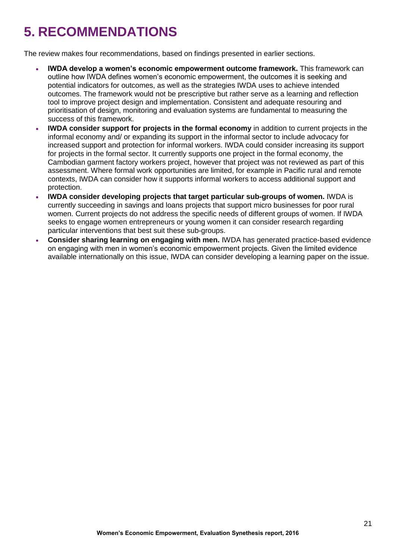# **5. RECOMMENDATIONS**

The review makes four recommendations, based on findings presented in earlier sections.

- **IWDA develop a women's economic empowerment outcome framework.** This framework can outline how IWDA defines women's economic empowerment, the outcomes it is seeking and potential indicators for outcomes, as well as the strategies IWDA uses to achieve intended outcomes. The framework would not be prescriptive but rather serve as a learning and reflection tool to improve project design and implementation. Consistent and adequate resouring and prioritisation of design, monitoring and evaluation systems are fundamental to measuring the success of this framework.
- **IWDA consider support for projects in the formal economy** in addition to current projects in the informal economy and/ or expanding its support in the informal sector to include advocacy for increased support and protection for informal workers. IWDA could consider increasing its support for projects in the formal sector. It currently supports one project in the formal economy, the Cambodian garment factory workers project, however that project was not reviewed as part of this assessment. Where formal work opportunities are limited, for example in Pacific rural and remote contexts, IWDA can consider how it supports informal workers to access additional support and protection.
- **IWDA consider developing projects that target particular sub-groups of women.** IWDA is currently succeeding in savings and loans projects that support micro businesses for poor rural women. Current projects do not address the specific needs of different groups of women. If IWDA seeks to engage women entrepreneurs or young women it can consider research regarding particular interventions that best suit these sub-groups.
- **Consider sharing learning on engaging with men.** IWDA has generated practice-based evidence on engaging with men in women's economic empowerment projects. Given the limited evidence available internationally on this issue, IWDA can consider developing a learning paper on the issue.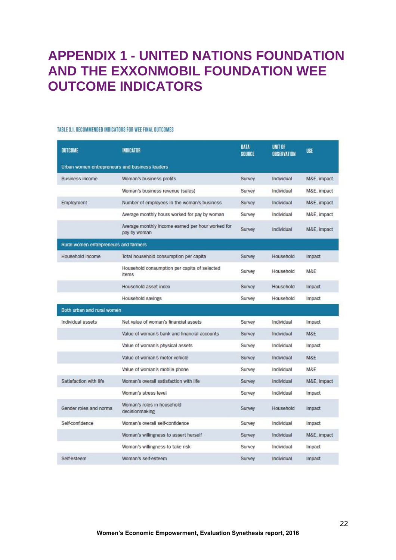# **APPENDIX 1 - UNITED NATIONS FOUNDATION AND THE EXXONMOBIL FOUNDATION WEE OUTCOME INDICATORS**

#### TABLE 3.1. RECOMMENDED INDICATORS FOR WEE FINAL OUTCOMES

| <b>OUTCOME</b>                                 | <b>INDICATOR</b>                                                  | <b>DATA</b><br><b>SOURCE</b> | UNIT OF<br><b>OBSERVATION</b> | <b>USE</b>     |
|------------------------------------------------|-------------------------------------------------------------------|------------------------------|-------------------------------|----------------|
| Urban women entrepreneurs and business leaders |                                                                   |                              |                               |                |
| <b>Business income</b>                         | Woman's business profits                                          | Survey                       | Individual                    | M&E, impact    |
|                                                | Woman's business revenue (sales)                                  | Survey                       | Individual                    | M&E, impact    |
| Employment                                     | Number of employees in the woman's business                       | Survey                       | Individual                    | M&E, impact    |
|                                                | Average monthly hours worked for pay by woman                     | Survey                       | Individual                    | M&E, impact    |
|                                                | Average monthly income earned per hour worked for<br>pay by woman | Survey                       | Individual                    | M&E, impact    |
| Rural women entrepreneurs and farmers          |                                                                   |                              |                               |                |
| Household income                               | Total household consumption per capita                            | Survey                       | Household                     | Impact         |
|                                                | Household consumption per capita of selected<br>items             | Survey                       | Household                     | M&E            |
|                                                | Household asset index                                             | Survey                       | Household                     | Impact         |
|                                                | Household savings                                                 | Survey                       | Household                     | Impact         |
| Both urban and rural women                     |                                                                   |                              |                               |                |
| Individual assets                              | Net value of woman's financial assets                             | Survey                       | Individual                    | Impact         |
|                                                | Value of woman's bank and financial accounts                      | Survey                       | Individual                    | M&E            |
|                                                | Value of woman's physical assets                                  | Survey                       | Individual                    | Impact         |
|                                                | Value of woman's motor vehicle                                    | Survey                       | Individual                    | M&E            |
|                                                | Value of woman's mobile phone                                     | Survey                       | Individual                    | <b>M&amp;F</b> |
| Satisfaction with life                         | Woman's overall satisfaction with life                            | Survey                       | Individual                    | M&E, impact    |
|                                                | Woman's stress level                                              | <b>Survey</b>                | Individual                    | Impact         |
| Gender roles and norms                         | Woman's roles in household<br>decisionmaking                      | Survey                       | Household                     | Impact         |
| Self-confidence                                | Woman's overall self-confidence                                   | Survey                       | Individual                    | Impact         |
|                                                | Woman's willingness to assert herself                             | Survey                       | Individual                    | M&E, impact    |
|                                                | Woman's willingness to take risk                                  | Survey                       | Individual                    | Impact         |
| Self-esteem                                    | Woman's self-esteem                                               | Survey                       | Individual                    | Impact         |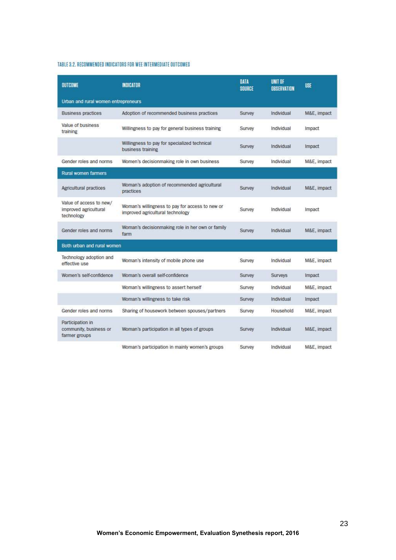#### TABLE 3.2. RECOMMENDED INDICATORS FOR WEE INTERMEDIATE OUTCOMES

| <b>OUTCOME</b>                                                 | <b>INDICATOR</b>                                                                    | <b>DATA</b><br><b>SOURCE</b> | UNIT OF<br><b>OBSERVATION</b> | <b>USE</b>  |
|----------------------------------------------------------------|-------------------------------------------------------------------------------------|------------------------------|-------------------------------|-------------|
| Urban and rural women entrepreneurs                            |                                                                                     |                              |                               |             |
| <b>Business practices</b>                                      | Adoption of recommended business practices                                          | Survey                       | Individual                    | M&E, impact |
| Value of business<br>training                                  | Willingness to pay for general business training                                    | Survey                       | Individual                    | Impact      |
|                                                                | Willingness to pay for specialized technical<br>business training                   | Survey                       | Individual                    | Impact      |
| Gender roles and norms                                         | Women's decisionmaking role in own business                                         | Survey                       | Individual                    | M&E, impact |
| Rural women farmers                                            |                                                                                     |                              |                               |             |
| Agricultural practices                                         | Woman's adoption of recommended agricultural<br>practices                           | Survey                       | Individual                    | M&E, impact |
| Value of access to new/<br>improved agricultural<br>technology | Woman's willingness to pay for access to new or<br>improved agricultural technology | Survey                       | Individual                    | Impact      |
| Gender roles and norms                                         | Woman's decisionmaking role in her own or family<br>farm                            | Survey                       | Individual                    | M&E, impact |
| Both urban and rural women                                     |                                                                                     |                              |                               |             |
| Technology adoption and<br>effective use                       | Woman's intensity of mobile phone use                                               | Survey                       | Individual                    | M&E, impact |
| Women's self-confidence                                        | Woman's overall self-confidence                                                     | Survey                       | <b>Surveys</b>                | Impact      |
|                                                                | Woman's willingness to assert herself                                               | Survey                       | Individual                    | M&E, impact |
|                                                                | Woman's willingness to take risk                                                    | Survey                       | Individual                    | Impact      |
| Gender roles and norms                                         | Sharing of housework between spouses/partners                                       | Survey                       | Household                     | M&E, impact |
| Participation in<br>community, business or<br>farmer groups    | Woman's participation in all types of groups                                        | Survey                       | Individual                    | M&E, impact |
|                                                                | Woman's participation in mainly women's groups                                      | Survey                       | Individual                    | M&E, impact |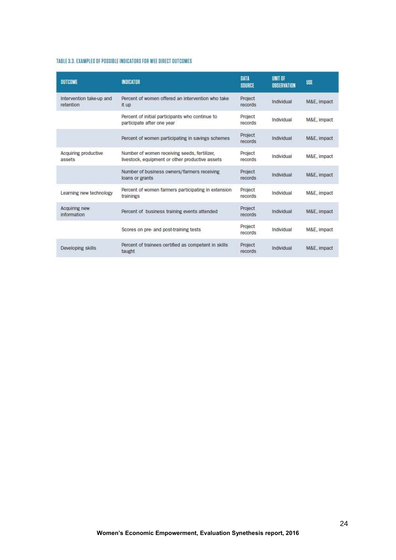#### TABLE 3.3. EXAMPLES OF POSSIBLE INDICATORS FOR WEE DIRECT OUTCOMES

| <b>BUTCOME</b>                        | <b>INDICATOR</b>                                                                                | <b>DATA</b><br>SOURCE | <b>UNIT OF</b><br>OBSERVATION | <b>USE</b>  |
|---------------------------------------|-------------------------------------------------------------------------------------------------|-----------------------|-------------------------------|-------------|
| Intervention take-up and<br>retention | Percent of women offered an intervention who take<br>it up                                      | Project<br>records    | Individual                    | M&E, impact |
|                                       | Percent of initial participants who continue to<br>participate after one year                   | Project<br>records    | Individual                    | M&E, impact |
|                                       | Percent of women participating in savings schemes                                               | Project<br>records    | Individual                    | M&E, impact |
| Acquiring productive<br>assets        | Number of women receiving seeds, fertilizer,<br>livestock, equipment or other productive assets | Project<br>records    | Individual                    | M&E, impact |
|                                       | Number of business owners/farmers receiving<br>loans or grants                                  | Project<br>records    | Individual                    | M&E, impact |
| Learning new technology               | Percent of women farmers participating in extension<br>trainings                                | Project<br>records    | Individual                    | M&E, impact |
| Acquiring new<br>information          | Percent of business training events attended                                                    | Project<br>records    | Individual                    | M&E, impact |
|                                       | Scores on pre- and post-training tests                                                          | Project<br>records    | Individual                    | M&E, impact |
| Developing skills                     | Percent of trainees certified as competent in skills<br>taught                                  | Project<br>records    | Individual                    | M&E, impact |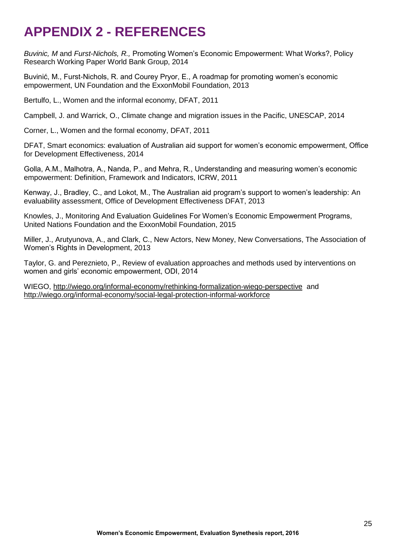# **APPENDIX 2 - REFERENCES**

*Buvinic, M* and *Furst-Nichols, R.,* Promoting Women's Economic Empowerment: What Works?, Policy Research Working Paper World Bank Group, 2014

Buvinić, M., Furst-Nichols, R. and Courey Pryor, E., A roadmap for promoting women's economic empowerment, UN Foundation and the ExxonMobil Foundation, 2013

Bertulfo, L., Women and the informal economy, DFAT, 2011

Campbell, J. and Warrick, O., Climate change and migration issues in the Pacific, UNESCAP, 2014

Corner, L., Women and the formal economy, DFAT, 2011

DFAT, Smart economics: evaluation of Australian aid support for women's economic empowerment, Office for Development Effectiveness, 2014

Golla, A.M., Malhotra, A., Nanda, P., and Mehra, R., Understanding and measuring women's economic empowerment: Definition, Framework and Indicators, ICRW, 2011

Kenway, J., Bradley, C., and Lokot, M., The Australian aid program's support to women's leadership: An evaluability assessment, Office of Development Effectiveness DFAT, 2013

Knowles, J., Monitoring And Evaluation Guidelines For Women's Economic Empowerment Programs, United Nations Foundation and the ExxonMobil Foundation, 2015

Miller, J., Arutyunova, A., and Clark, C., New Actors, New Money, New Conversations, The Association of Women's Rights in Development, 2013

Taylor, G. and Pereznieto, P., Review of evaluation approaches and methods used by interventions on women and girls' economic empowerment, ODI, 2014

WIEGO,<http://wiego.org/informal-economy/rethinking-formalization-wiego-perspective>and <http://wiego.org/informal-economy/social-legal-protection-informal-workforce>